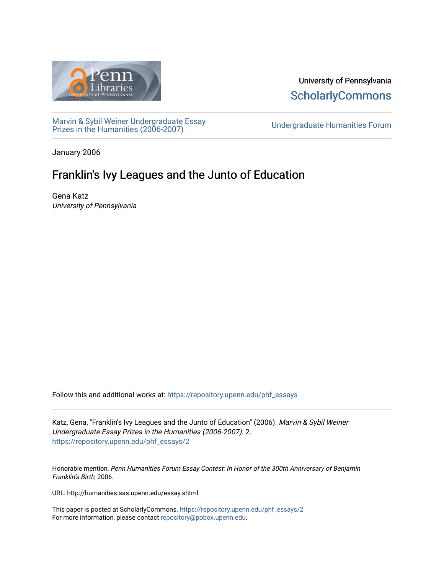

University of Pennsylvania **ScholarlyCommons** 

[Marvin & Sybil Weiner Undergraduate Essay](https://repository.upenn.edu/phf_essays)  [Prizes in the Humanities \(2006-2007\)](https://repository.upenn.edu/phf_essays) [Undergraduate Humanities Forum](https://repository.upenn.edu/undergrad_hum_forum) 

January 2006

# Franklin's Ivy Leagues and the Junto of Education

Gena Katz University of Pennsylvania

Follow this and additional works at: [https://repository.upenn.edu/phf\\_essays](https://repository.upenn.edu/phf_essays?utm_source=repository.upenn.edu%2Fphf_essays%2F2&utm_medium=PDF&utm_campaign=PDFCoverPages) 

Katz, Gena, "Franklin's Ivy Leagues and the Junto of Education" (2006). Marvin & Sybil Weiner Undergraduate Essay Prizes in the Humanities (2006-2007). 2. [https://repository.upenn.edu/phf\\_essays/2](https://repository.upenn.edu/phf_essays/2?utm_source=repository.upenn.edu%2Fphf_essays%2F2&utm_medium=PDF&utm_campaign=PDFCoverPages)

Honorable mention, Penn Humanities Forum Essay Contest: In Honor of the 300th Anniversary of Benjamin Franklin's Birth, 2006.

URL: http://humanities.sas.upenn.edu/essay.shtml

This paper is posted at ScholarlyCommons. [https://repository.upenn.edu/phf\\_essays/2](https://repository.upenn.edu/phf_essays/2)  For more information, please contact [repository@pobox.upenn.edu.](mailto:repository@pobox.upenn.edu)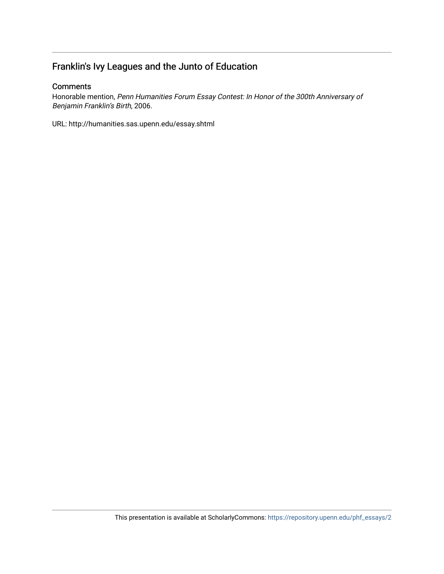## Franklin's Ivy Leagues and the Junto of Education

#### **Comments**

Honorable mention, Penn Humanities Forum Essay Contest: In Honor of the 300th Anniversary of Benjamin Franklin's Birth, 2006.

URL: http://humanities.sas.upenn.edu/essay.shtml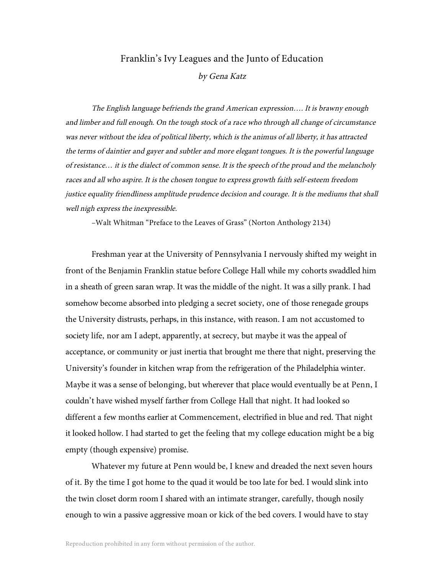### Franklin's Ivy Leagues and the Junto of Education

by Gena Katz

The English language befriends the grand American expression…. It is brawny enough and limber and full enough. On the tough stock of <sup>a</sup> race who through all change of circumstance was never without the idea of political liberty, which is the animus of all liberty, it has attracted the terms of daintier and gayer and subtler and more elegant tongues. It is the powerful language of resistance… it is the dialect of common sense. It is the speech of the proud and the melancholy races and all who aspire. It is the chosen tongue to express growth faith self-esteem freedom justice equality friendliness amplitude prudence decision and courage. It is the mediums that shall well nigh express the inexpressible.

–Walt Whitman "Preface to the Leaves of Grass" (Norton Anthology 2134)

Freshman year at the University of Pennsylvania I nervously shifted my weight in front of the Benjamin Franklin statue before College Hall while my cohorts swaddled him in a sheath of green saran wrap. It was the middle of the night. It was a silly prank. I had somehow become absorbed into pledging a secret society, one of those renegade groups the University distrusts, perhaps, in this instance, with reason. I am not accustomed to society life, nor am I adept, apparently, at secrecy, but maybe it was the appeal of acceptance, or community or just inertia that brought me there that night, preserving the University's founder in kitchen wrap from the refrigeration of the Philadelphia winter. Maybe it was a sense of belonging, but wherever that place would eventually be at Penn, I couldn't have wished myself farther from College Hall that night. It had looked so different a few months earlier at Commencement, electrified in blue and red. That night it looked hollow. I had started to get the feeling that my college education might be a big empty (though expensive) promise.

Whatever my future at Penn would be, I knew and dreaded the next seven hours of it. By the time I got home to the quad it would be too late for bed. I would slink into the twin closet dorm room I shared with an intimate stranger, carefully, though nosily enough to win a passive aggressive moan or kick of the bed covers. I would have to stay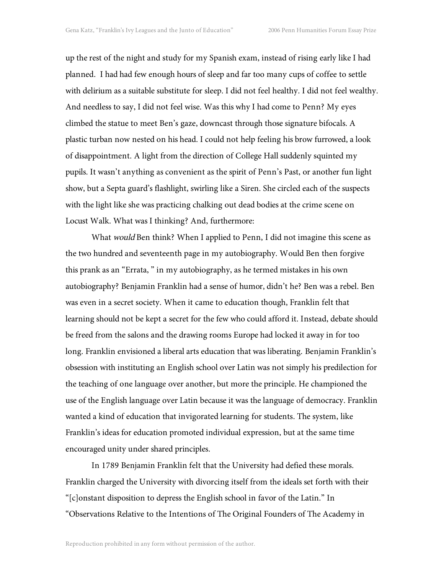up the rest of the night and study for my Spanish exam, instead of rising early like I had planned. I had had few enough hours of sleep and far too many cups of coffee to settle with delirium as a suitable substitute for sleep. I did not feel healthy. I did not feel wealthy. And needless to say, I did not feel wise. Was this why I had come to Penn? My eyes climbed the statue to meet Ben's gaze, downcast through those signature bifocals. A plastic turban now nested on his head. I could not help feeling his brow furrowed, a look of disappointment. A light from the direction of College Hall suddenly squinted my pupils. It wasn't anything as convenient as the spirit of Penn's Past, or another fun light show, but a Septa guard's flashlight, swirling like a Siren. She circled each of the suspects with the light like she was practicing chalking out dead bodies at the crime scene on Locust Walk. What was I thinking? And, furthermore:

What would Ben think? When I applied to Penn, I did not imagine this scene as the two hundred and seventeenth page in my autobiography. Would Ben then forgive this prank as an "Errata, " in my autobiography, as he termed mistakes in his own autobiography? Benjamin Franklin had a sense of humor, didn't he? Ben was a rebel. Ben was even in a secret society. When it came to education though, Franklin felt that learning should not be kept a secret for the few who could afford it. Instead, debate should be freed from the salons and the drawing rooms Europe had locked it away in for too long. Franklin envisioned a liberal arts education that was liberating. Benjamin Franklin's obsession with instituting an English school over Latin was not simply his predilection for the teaching of one language over another, but more the principle. He championed the use of the English language over Latin because it was the language of democracy. Franklin wanted a kind of education that invigorated learning for students. The system, like Franklin's ideas for education promoted individual expression, but at the same time encouraged unity under shared principles.

In 1789 Benjamin Franklin felt that the University had defied these morals. Franklin charged the University with divorcing itself from the ideals set forth with their "[c]onstant disposition to depress the English school in favor of the Latin." In "Observations Relative to the Intentions of The Original Founders of The Academy in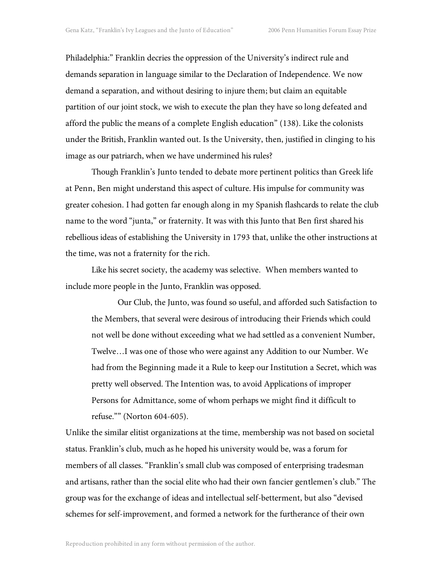Philadelphia:" Franklin decries the oppression of the University's indirect rule and demands separation in language similar to the Declaration of Independence. We now demand a separation, and without desiring to injure them; but claim an equitable partition of our joint stock, we wish to execute the plan they have so long defeated and afford the public the means of a complete English education" (138). Like the colonists under the British, Franklin wanted out. Is the University, then, justified in clinging to his image as our patriarch, when we have undermined his rules?

Though Franklin's Junto tended to debate more pertinent politics than Greek life at Penn, Ben might understand this aspect of culture. His impulse for community was greater cohesion. I had gotten far enough along in my Spanish flashcards to relate the club name to the word "junta," or fraternity. It was with this Junto that Ben first shared his rebellious ideas of establishing the University in 1793 that, unlike the other instructions at the time, was not a fraternity for the rich.

Like his secret society, the academy was selective. When members wanted to include more people in the Junto, Franklin was opposed.

Our Club, the Junto, was found so useful, and afforded such Satisfaction to the Members, that several were desirous of introducing their Friends which could not well be done without exceeding what we had settled as a convenient Number, Twelve…I was one of those who were against any Addition to our Number. We had from the Beginning made it a Rule to keep our Institution a Secret, which was pretty well observed. The Intention was, to avoid Applications of improper Persons for Admittance, some of whom perhaps we might find it difficult to refuse."" (Norton 604-605).

Unlike the similar elitist organizations at the time, membership was not based on societal status. Franklin's club, much as he hoped his university would be, was a forum for members of all classes. "Franklin's small club was composed of enterprising tradesman and artisans, rather than the social elite who had their own fancier gentlemen's club." The group was for the exchange of ideas and intellectual self-betterment, but also "devised schemes for self-improvement, and formed a network for the furtherance of their own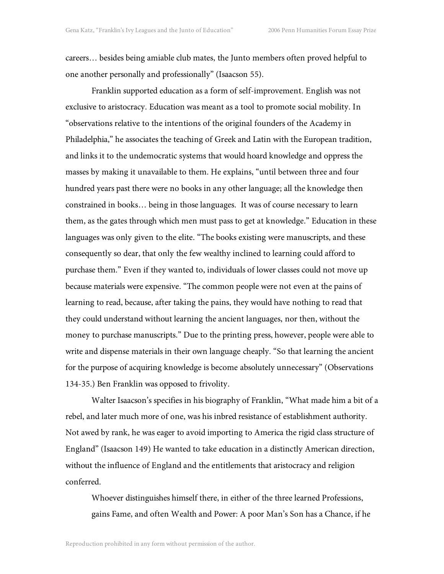careers… besides being amiable club mates, the Junto members often proved helpful to one another personally and professionally" (Isaacson 55).

Franklin supported education as a form of self-improvement. English was not exclusive to aristocracy. Education was meant as a tool to promote social mobility. In "observations relative to the intentions of the original founders of the Academy in Philadelphia," he associates the teaching of Greek and Latin with the European tradition, and links it to the undemocratic systems that would hoard knowledge and oppress the masses by making it unavailable to them. He explains, "until between three and four hundred years past there were no books in any other language; all the knowledge then constrained in books… being in those languages. It was of course necessary to learn them, as the gates through which men must pass to get at knowledge." Education in these languages was only given to the elite. "The books existing were manuscripts, and these consequently so dear, that only the few wealthy inclined to learning could afford to purchase them." Even if they wanted to, individuals of lower classes could not move up because materials were expensive. "The common people were not even at the pains of learning to read, because, after taking the pains, they would have nothing to read that they could understand without learning the ancient languages, nor then, without the money to purchase manuscripts." Due to the printing press, however, people were able to write and dispense materials in their own language cheaply. "So that learning the ancient for the purpose of acquiring knowledge is become absolutely unnecessary" (Observations 134-35.) Ben Franklin was opposed to frivolity.

Walter Isaacson's specifies in his biography of Franklin, "What made him a bit of a rebel, and later much more of one, was his inbred resistance of establishment authority. Not awed by rank, he was eager to avoid importing to America the rigid class structure of England" (Isaacson 149) He wanted to take education in a distinctly American direction, without the influence of England and the entitlements that aristocracy and religion conferred.

Whoever distinguishes himself there, in either of the three learned Professions, gains Fame, and often Wealth and Power: A poor Man's Son has a Chance, if he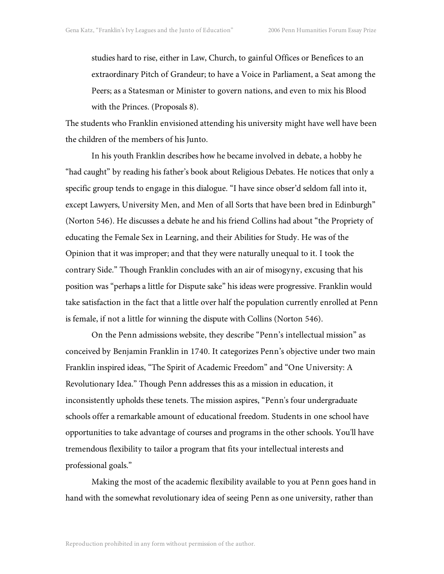studies hard to rise, either in Law, Church, to gainful Offices or Benefices to an extraordinary Pitch of Grandeur; to have a Voice in Parliament, a Seat among the Peers; as a Statesman or Minister to govern nations, and even to mix his Blood with the Princes. (Proposals 8).

The students who Franklin envisioned attending his university might have well have been the children of the members of his Junto.

In his youth Franklin describes how he became involved in debate, a hobby he "had caught" by reading his father's book about Religious Debates. He notices that only a specific group tends to engage in this dialogue. "I have since obser'd seldom fall into it, except Lawyers, University Men, and Men of all Sorts that have been bred in Edinburgh" (Norton 546). He discusses a debate he and his friend Collins had about "the Propriety of educating the Female Sex in Learning, and their Abilities for Study. He was of the Opinion that it was improper; and that they were naturally unequal to it. I took the contrary Side." Though Franklin concludes with an air of misogyny, excusing that his position was "perhaps a little for Dispute sake" his ideas were progressive. Franklin would take satisfaction in the fact that a little over half the population currently enrolled at Penn is female, if not a little for winning the dispute with Collins (Norton 546).

On the Penn admissions website, they describe "Penn's intellectual mission" as conceived by Benjamin Franklin in 1740. It categorizes Penn's objective under two main Franklin inspired ideas, "The Spirit of Academic Freedom" and "One University: A Revolutionary Idea." Though Penn addresses this as a mission in education, it inconsistently upholds these tenets. The mission aspires, "Penn's four undergraduate schools offer a remarkable amount of educational freedom. Students in one school have opportunities to take advantage of courses and programs in the other schools. You'll have tremendous flexibility to tailor a program that fits your intellectual interests and professional goals."

Making the most of the academic flexibility available to you at Penn goes hand in hand with the somewhat revolutionary idea of seeing Penn as one university, rather than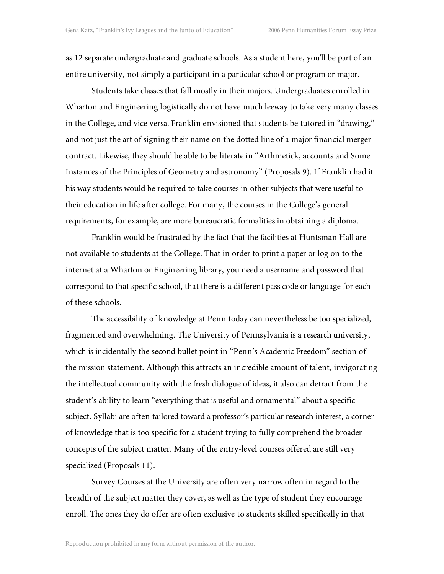as 12 separate undergraduate and graduate schools. As a student here, you'll be part of an entire university, not simply a participant in a particular school or program or major.

Students take classes that fall mostly in their majors. Undergraduates enrolled in Wharton and Engineering logistically do not have much leeway to take very many classes in the College, and vice versa. Franklin envisioned that students be tutored in "drawing," and not just the art of signing their name on the dotted line of a major financial merger contract. Likewise, they should be able to be literate in "Arthmetick, accounts and Some Instances of the Principles of Geometry and astronomy" (Proposals 9). If Franklin had it his way students would be required to take courses in other subjects that were useful to their education in life after college. For many, the courses in the College's general requirements, for example, are more bureaucratic formalities in obtaining a diploma.

Franklin would be frustrated by the fact that the facilities at Huntsman Hall are not available to students at the College. That in order to print a paper or log on to the internet at a Wharton or Engineering library, you need a username and password that correspond to that specific school, that there is a different pass code or language for each of these schools.

The accessibility of knowledge at Penn today can nevertheless be too specialized, fragmented and overwhelming. The University of Pennsylvania is a research university, which is incidentally the second bullet point in "Penn's Academic Freedom" section of the mission statement. Although this attracts an incredible amount of talent, invigorating the intellectual community with the fresh dialogue of ideas, it also can detract from the student's ability to learn "everything that is useful and ornamental" about a specific subject. Syllabi are often tailored toward a professor's particular research interest, a corner of knowledge that is too specific for a student trying to fully comprehend the broader concepts of the subject matter. Many of the entry-level courses offered are still very specialized (Proposals 11).

Survey Courses at the University are often very narrow often in regard to the breadth of the subject matter they cover, as well as the type of student they encourage enroll. The ones they do offer are often exclusive to students skilled specifically in that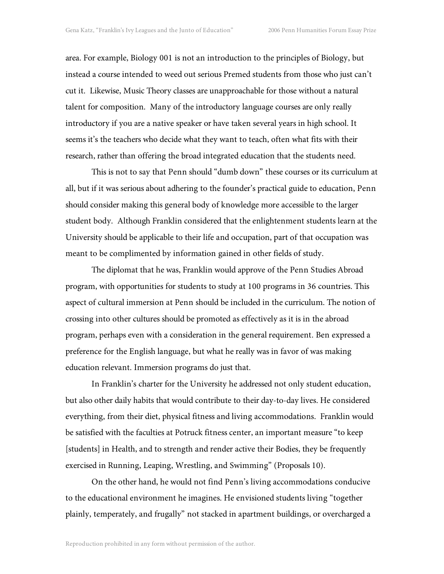area. For example, Biology 001 is not an introduction to the principles of Biology, but instead a course intended to weed out serious Premed students from those who just can't cut it. Likewise, Music Theory classes are unapproachable for those without a natural talent for composition. Many of the introductory language courses are only really introductory if you are a native speaker or have taken several years in high school. It seems it's the teachers who decide what they want to teach, often what fits with their research, rather than offering the broad integrated education that the students need.

This is not to say that Penn should "dumb down" these courses or its curriculum at all, but if it was serious about adhering to the founder's practical guide to education, Penn should consider making this general body of knowledge more accessible to the larger student body. Although Franklin considered that the enlightenment students learn at the University should be applicable to their life and occupation, part of that occupation was meant to be complimented by information gained in other fields of study.

The diplomat that he was, Franklin would approve of the Penn Studies Abroad program, with opportunities for students to study at 100 programs in 36 countries. This aspect of cultural immersion at Penn should be included in the curriculum. The notion of crossing into other cultures should be promoted as effectively as it is in the abroad program, perhaps even with a consideration in the general requirement. Ben expressed a preference for the English language, but what he really was in favor of was making education relevant. Immersion programs do just that.

In Franklin's charter for the University he addressed not only student education, but also other daily habits that would contribute to their day-to-day lives. He considered everything, from their diet, physical fitness and living accommodations. Franklin would be satisfied with the faculties at Potruck fitness center, an important measure "to keep [students] in Health, and to strength and render active their Bodies, they be frequently exercised in Running, Leaping, Wrestling, and Swimming" (Proposals 10).

On the other hand, he would not find Penn's living accommodations conducive to the educational environment he imagines. He envisioned students living "together plainly, temperately, and frugally" not stacked in apartment buildings, or overcharged a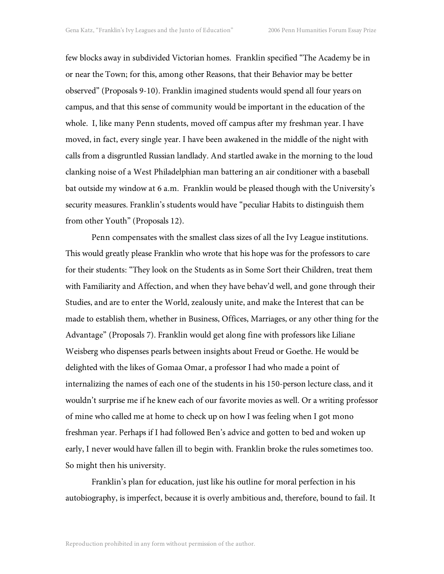few blocks away in subdivided Victorian homes. Franklin specified "The Academy be in or near the Town; for this, among other Reasons, that their Behavior may be better observed" (Proposals 9-10). Franklin imagined students would spend all four years on campus, and that this sense of community would be important in the education of the whole. I, like many Penn students, moved off campus after my freshman year. I have moved, in fact, every single year. I have been awakened in the middle of the night with calls from a disgruntled Russian landlady. And startled awake in the morning to the loud clanking noise of a West Philadelphian man battering an air conditioner with a baseball bat outside my window at 6 a.m. Franklin would be pleased though with the University's security measures. Franklin's students would have "peculiar Habits to distinguish them from other Youth" (Proposals 12).

Penn compensates with the smallest class sizes of all the Ivy League institutions. This would greatly please Franklin who wrote that his hope was for the professors to care for their students: "They look on the Students as in Some Sort their Children, treat them with Familiarity and Affection, and when they have behav'd well, and gone through their Studies, and are to enter the World, zealously unite, and make the Interest that can be made to establish them, whether in Business, Offices, Marriages, or any other thing for the Advantage" (Proposals 7). Franklin would get along fine with professors like Liliane Weisberg who dispenses pearls between insights about Freud or Goethe. He would be delighted with the likes of Gomaa Omar, a professor I had who made a point of internalizing the names of each one of the students in his 150-person lecture class, and it wouldn't surprise me if he knew each of our favorite movies as well. Or a writing professor of mine who called me at home to check up on how I was feeling when I got mono freshman year. Perhaps if I had followed Ben's advice and gotten to bed and woken up early, I never would have fallen ill to begin with. Franklin broke the rules sometimes too. So might then his university.

Franklin's plan for education, just like his outline for moral perfection in his autobiography, is imperfect, because it is overly ambitious and, therefore, bound to fail. It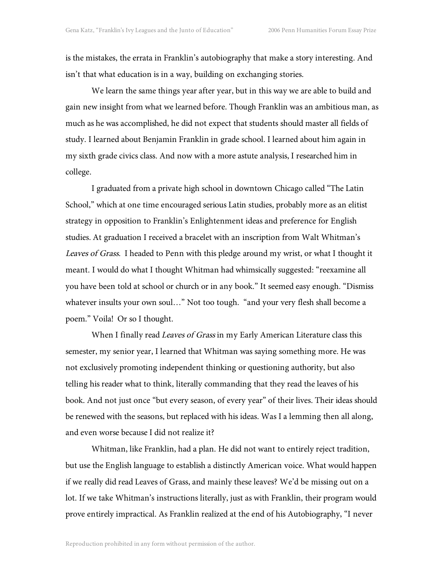is the mistakes, the errata in Franklin's autobiography that make a story interesting. And isn't that what education is in a way, building on exchanging stories.

We learn the same things year after year, but in this way we are able to build and gain new insight from what we learned before. Though Franklin was an ambitious man, as much as he was accomplished, he did not expect that students should master all fields of study. I learned about Benjamin Franklin in grade school. I learned about him again in my sixth grade civics class. And now with a more astute analysis, I researched him in college.

I graduated from a private high school in downtown Chicago called "The Latin School," which at one time encouraged serious Latin studies, probably more as an elitist strategy in opposition to Franklin's Enlightenment ideas and preference for English studies. At graduation I received a bracelet with an inscription from Walt Whitman's Leaves of Grass. I headed to Penn with this pledge around my wrist, or what I thought it meant. I would do what I thought Whitman had whimsically suggested: "reexamine all you have been told at school or church or in any book." It seemed easy enough. "Dismiss whatever insults your own soul…" Not too tough. "and your very flesh shall become a poem." Voila! Or so I thought.

When I finally read Leaves of Grass in my Early American Literature class this semester, my senior year, I learned that Whitman was saying something more. He was not exclusively promoting independent thinking or questioning authority, but also telling his reader what to think, literally commanding that they read the leaves of his book. And not just once "but every season, of every year" of their lives. Their ideas should be renewed with the seasons, but replaced with his ideas. Was I a lemming then all along, and even worse because I did not realize it?

Whitman, like Franklin, had a plan. He did not want to entirely reject tradition, but use the English language to establish a distinctly American voice. What would happen if we really did read Leaves of Grass, and mainly these leaves? We'd be missing out on a lot. If we take Whitman's instructions literally, just as with Franklin, their program would prove entirely impractical. As Franklin realized at the end of his Autobiography, "I never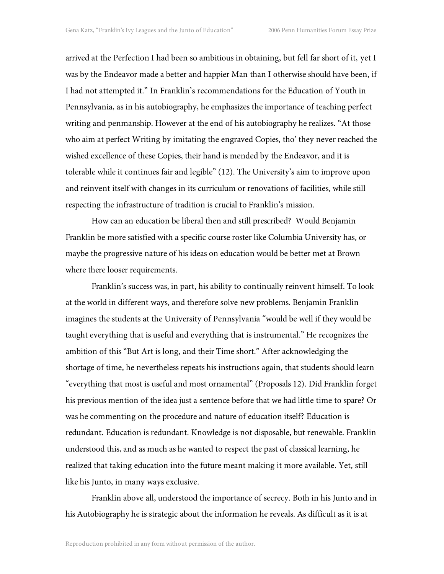arrived at the Perfection I had been so ambitious in obtaining, but fell far short of it, yet I was by the Endeavor made a better and happier Man than I otherwise should have been, if I had not attempted it." In Franklin's recommendations for the Education of Youth in Pennsylvania, as in his autobiography, he emphasizes the importance of teaching perfect writing and penmanship. However at the end of his autobiography he realizes. "At those who aim at perfect Writing by imitating the engraved Copies, tho' they never reached the wished excellence of these Copies, their hand is mended by the Endeavor, and it is tolerable while it continues fair and legible" (12). The University's aim to improve upon and reinvent itself with changes in its curriculum or renovations of facilities, while still respecting the infrastructure of tradition is crucial to Franklin's mission.

How can an education be liberal then and still prescribed? Would Benjamin Franklin be more satisfied with a specific course roster like Columbia University has, or maybe the progressive nature of his ideas on education would be better met at Brown where there looser requirements.

Franklin's success was, in part, his ability to continually reinvent himself. To look at the world in different ways, and therefore solve new problems. Benjamin Franklin imagines the students at the University of Pennsylvania "would be well if they would be taught everything that is useful and everything that is instrumental." He recognizes the ambition of this "But Art is long, and their Time short." After acknowledging the shortage of time, he nevertheless repeats his instructions again, that students should learn "everything that most is useful and most ornamental" (Proposals 12). Did Franklin forget his previous mention of the idea just a sentence before that we had little time to spare? Or was he commenting on the procedure and nature of education itself? Education is redundant. Education is redundant. Knowledge is not disposable, but renewable. Franklin understood this, and as much as he wanted to respect the past of classical learning, he realized that taking education into the future meant making it more available. Yet, still like his Junto, in many ways exclusive.

Franklin above all, understood the importance of secrecy. Both in his Junto and in his Autobiography he is strategic about the information he reveals. As difficult as it is at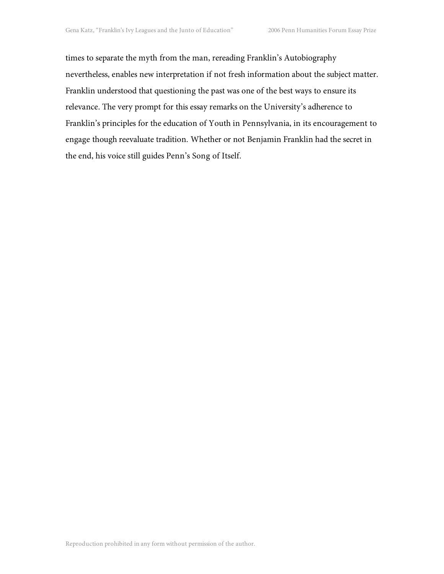times to separate the myth from the man, rereading Franklin's Autobiography nevertheless, enables new interpretation if not fresh information about the subject matter. Franklin understood that questioning the past was one of the best ways to ensure its relevance. The very prompt for this essay remarks on the University's adherence to Franklin's principles for the education of Youth in Pennsylvania, in its encouragement to engage though reevaluate tradition. Whether or not Benjamin Franklin had the secret in the end, his voice still guides Penn's Song of Itself.